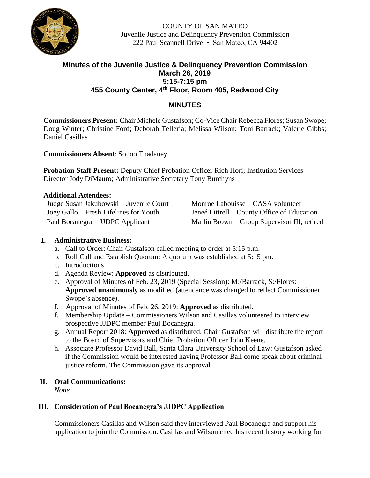

COUNTY OF SAN MATEO Juvenile Justice and Delinquency Prevention Commission 222 Paul Scannell Drive • San Mateo, CA 94402

## **Minutes of the Juvenile Justice & Delinquency Prevention Commission March 26, 2019 5:15-7:15 pm 455 County Center, 4th Floor, Room 405, Redwood City**

## **MINUTES**

**Commissioners Present:** Chair Michele Gustafson; Co-Vice Chair Rebecca Flores; Susan Swope; Doug Winter; Christine Ford; Deborah Telleria; Melissa Wilson; Toni Barrack; Valerie Gibbs; Daniel Casillas

**Commissioners Absent**: Sonoo Thadaney

**Probation Staff Present:** Deputy Chief Probation Officer Rich Hori; Institution Services Director Jody DiMauro; Administrative Secretary Tony Burchyns

## **Additional Attendees:**

Judge Susan Jakubowski – Juvenile Court Monroe Labouisse – CASA volunteer

Joey Gallo – Fresh Lifelines for Youth Jeneé Littrell – County Office of Education Paul Bocanegra – JJDPC Applicant Marlin Brown – Group Supervisor III, retired

## **I. Administrative Business:**

- a. Call to Order: Chair Gustafson called meeting to order at 5:15 p.m.
- b. Roll Call and Establish Quorum: A quorum was established at 5:15 pm.
- c. Introductions
- d. Agenda Review: **Approved** as distributed.
- e. Approval of Minutes of Feb. 23, 2019 (Special Session): M:/Barrack, S:/Flores: **Approved unanimously** as modified (attendance was changed to reflect Commissioner Swope's absence).
- f. Approval of Minutes of Feb. 26, 2019: **Approved** as distributed.
- f. Membership Update Commissioners Wilson and Casillas volunteered to interview prospective JJDPC member Paul Bocanegra.
- g. Annual Report 2018: **Approved** as distributed. Chair Gustafson will distribute the report to the Board of Supervisors and Chief Probation Officer John Keene.
- h. Associate Professor David Ball, Santa Clara University School of Law: Gustafson asked if the Commission would be interested having Professor Ball come speak about criminal justice reform. The Commission gave its approval.

## **II. Oral Communications:**

*None*

## **III. Consideration of Paul Bocanegra's JJDPC Application**

Commissioners Casillas and Wilson said they interviewed Paul Bocanegra and support his application to join the Commission. Casillas and Wilson cited his recent history working for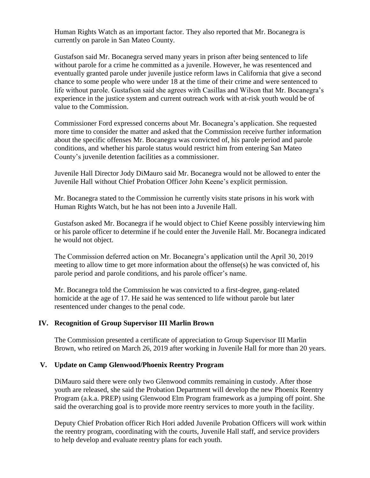Human Rights Watch as an important factor. They also reported that Mr. Bocanegra is currently on parole in San Mateo County.

Gustafson said Mr. Bocanegra served many years in prison after being sentenced to life without parole for a crime he committed as a juvenile. However, he was resentenced and eventually granted parole under juvenile justice reform laws in California that give a second chance to some people who were under 18 at the time of their crime and were sentenced to life without parole. Gustafson said she agrees with Casillas and Wilson that Mr. Bocanegra's experience in the justice system and current outreach work with at-risk youth would be of value to the Commission.

Commissioner Ford expressed concerns about Mr. Bocanegra's application. She requested more time to consider the matter and asked that the Commission receive further information about the specific offenses Mr. Bocanegra was convicted of, his parole period and parole conditions, and whether his parole status would restrict him from entering San Mateo County's juvenile detention facilities as a commissioner.

Juvenile Hall Director Jody DiMauro said Mr. Bocanegra would not be allowed to enter the Juvenile Hall without Chief Probation Officer John Keene's explicit permission.

Mr. Bocanegra stated to the Commission he currently visits state prisons in his work with Human Rights Watch, but he has not been into a Juvenile Hall.

Gustafson asked Mr. Bocanegra if he would object to Chief Keene possibly interviewing him or his parole officer to determine if he could enter the Juvenile Hall. Mr. Bocanegra indicated he would not object.

The Commission deferred action on Mr. Bocanegra's application until the April 30, 2019 meeting to allow time to get more information about the offense(s) he was convicted of, his parole period and parole conditions, and his parole officer's name.

Mr. Bocanegra told the Commission he was convicted to a first-degree, gang-related homicide at the age of 17. He said he was sentenced to life without parole but later resentenced under changes to the penal code.

#### **IV. Recognition of Group Supervisor III Marlin Brown**

The Commission presented a certificate of appreciation to Group Supervisor III Marlin Brown, who retired on March 26, 2019 after working in Juvenile Hall for more than 20 years.

#### **V. Update on Camp Glenwood/Phoenix Reentry Program**

DiMauro said there were only two Glenwood commits remaining in custody. After those youth are released, she said the Probation Department will develop the new Phoenix Reentry Program (a.k.a. PREP) using Glenwood Elm Program framework as a jumping off point. She said the overarching goal is to provide more reentry services to more youth in the facility.

Deputy Chief Probation officer Rich Hori added Juvenile Probation Officers will work within the reentry program, coordinating with the courts, Juvenile Hall staff, and service providers to help develop and evaluate reentry plans for each youth.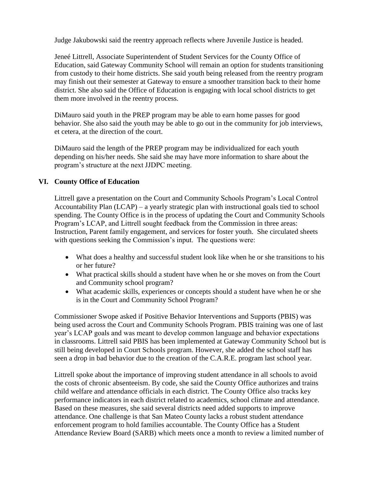Judge Jakubowski said the reentry approach reflects where Juvenile Justice is headed.

Jeneé Littrell, Associate Superintendent of Student Services for the County Office of Education, said Gateway Community School will remain an option for students transitioning from custody to their home districts. She said youth being released from the reentry program may finish out their semester at Gateway to ensure a smoother transition back to their home district. She also said the Office of Education is engaging with local school districts to get them more involved in the reentry process.

DiMauro said youth in the PREP program may be able to earn home passes for good behavior. She also said the youth may be able to go out in the community for job interviews, et cetera, at the direction of the court.

DiMauro said the length of the PREP program may be individualized for each youth depending on his/her needs. She said she may have more information to share about the program's structure at the next JJDPC meeting.

## **VI. County Office of Education**

Littrell gave a presentation on the Court and Community Schools Program's Local Control Accountability Plan (LCAP) – a yearly strategic plan with instructional goals tied to school spending. The County Office is in the process of updating the Court and Community Schools Program's LCAP, and Littrell sought feedback from the Commission in three areas: Instruction, Parent family engagement, and services for foster youth. She circulated sheets with questions seeking the Commission's input. The questions were:

- What does a healthy and successful student look like when he or she transitions to his or her future?
- What practical skills should a student have when he or she moves on from the Court and Community school program?
- What academic skills, experiences or concepts should a student have when he or she is in the Court and Community School Program?

Commissioner Swope asked if Positive Behavior Interventions and Supports (PBIS) was being used across the Court and Community Schools Program. PBIS training was one of last year's LCAP goals and was meant to develop common language and behavior expectations in classrooms. Littrell said PBIS has been implemented at Gateway Community School but is still being developed in Court Schools program. However, she added the school staff has seen a drop in bad behavior due to the creation of the C.A.R.E. program last school year.

Littrell spoke about the importance of improving student attendance in all schools to avoid the costs of chronic absenteeism. By code, she said the County Office authorizes and trains child welfare and attendance officials in each district. The County Office also tracks key performance indicators in each district related to academics, school climate and attendance. Based on these measures, she said several districts need added supports to improve attendance. One challenge is that San Mateo County lacks a robust student attendance enforcement program to hold families accountable. The County Office has a Student Attendance Review Board (SARB) which meets once a month to review a limited number of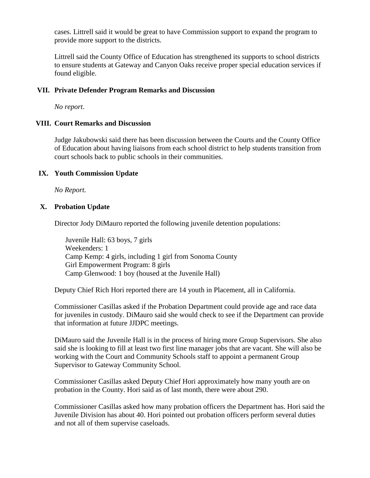cases. Littrell said it would be great to have Commission support to expand the program to provide more support to the districts.

Littrell said the County Office of Education has strengthened its supports to school districts to ensure students at Gateway and Canyon Oaks receive proper special education services if found eligible.

## **VII. Private Defender Program Remarks and Discussion**

*No report*.

#### **VIII. Court Remarks and Discussion**

Judge Jakubowski said there has been discussion between the Courts and the County Office of Education about having liaisons from each school district to help students transition from court schools back to public schools in their communities.

#### **IX. Youth Commission Update**

*No Report.*

#### **X. Probation Update**

Director Jody DiMauro reported the following juvenile detention populations:

Juvenile Hall: 63 boys, 7 girls Weekenders: 1 Camp Kemp: 4 girls, including 1 girl from Sonoma County Girl Empowerment Program: 8 girls Camp Glenwood: 1 boy (housed at the Juvenile Hall)

Deputy Chief Rich Hori reported there are 14 youth in Placement, all in California.

Commissioner Casillas asked if the Probation Department could provide age and race data for juveniles in custody. DiMauro said she would check to see if the Department can provide that information at future JJDPC meetings.

DiMauro said the Juvenile Hall is in the process of hiring more Group Supervisors. She also said she is looking to fill at least two first line manager jobs that are vacant. She will also be working with the Court and Community Schools staff to appoint a permanent Group Supervisor to Gateway Community School.

Commissioner Casillas asked Deputy Chief Hori approximately how many youth are on probation in the County. Hori said as of last month, there were about 290.

Commissioner Casillas asked how many probation officers the Department has. Hori said the Juvenile Division has about 40. Hori pointed out probation officers perform several duties and not all of them supervise caseloads.